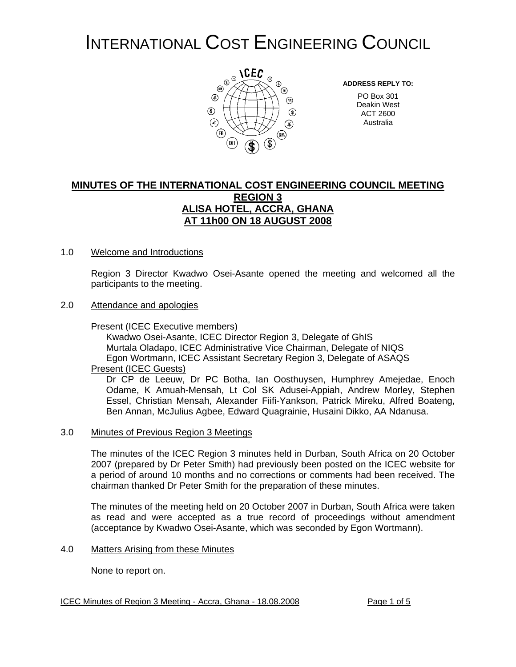# INTERNATIONAL COST ENGINEERING COUNCIL



**ADDRESS REPLY TO:**

PO Box 301 Deakin West ACT 2600 Australia

# **MINUTES OF THE INTERNATIONAL COST ENGINEERING COUNCIL MEETING REGION 3 ALISA HOTEL, ACCRA, GHANA AT 11h00 ON 18 AUGUST 2008**

## 1.0 Welcome and Introductions

Region 3 Director Kwadwo Osei-Asante opened the meeting and welcomed all the participants to the meeting.

## 2.0 Attendance and apologies

## Present (ICEC Executive members)

Kwadwo Osei-Asante, ICEC Director Region 3, Delegate of GhIS Murtala Oladapo, ICEC Administrative Vice Chairman, Delegate of NIQS Egon Wortmann, ICEC Assistant Secretary Region 3, Delegate of ASAQS

# Present (ICEC Guests)

Dr CP de Leeuw, Dr PC Botha, Ian Oosthuysen, Humphrey Amejedae, Enoch Odame, K Amuah-Mensah, Lt Col SK Adusei-Appiah, Andrew Morley, Stephen Essel, Christian Mensah, Alexander Fiifi-Yankson, Patrick Mireku, Alfred Boateng, Ben Annan, McJulius Agbee, Edward Quagrainie, Husaini Dikko, AA Ndanusa.

## 3.0 Minutes of Previous Region 3 Meetings

The minutes of the ICEC Region 3 minutes held in Durban, South Africa on 20 October 2007 (prepared by Dr Peter Smith) had previously been posted on the ICEC website for a period of around 10 months and no corrections or comments had been received. The chairman thanked Dr Peter Smith for the preparation of these minutes.

The minutes of the meeting held on 20 October 2007 in Durban, South Africa were taken as read and were accepted as a true record of proceedings without amendment (acceptance by Kwadwo Osei-Asante, which was seconded by Egon Wortmann).

## 4.0 Matters Arising from these Minutes

None to report on.

## ICEC Minutes of Region 3 Meeting - Accra, Ghana - 18.08.2008 Page 1 of 5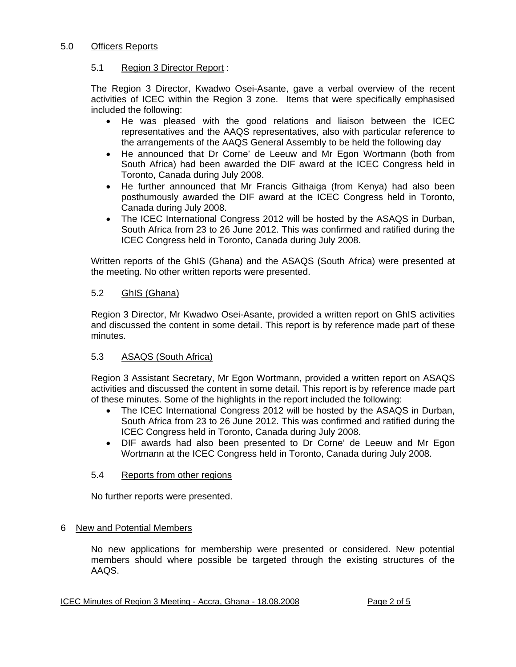## 5.0 Officers Reports

## 5.1 Region 3 Director Report :

The Region 3 Director, Kwadwo Osei-Asante, gave a verbal overview of the recent activities of ICEC within the Region 3 zone. Items that were specifically emphasised included the following:

- He was pleased with the good relations and liaison between the ICEC representatives and the AAQS representatives, also with particular reference to the arrangements of the AAQS General Assembly to be held the following day
- He announced that Dr Corne' de Leeuw and Mr Egon Wortmann (both from South Africa) had been awarded the DIF award at the ICEC Congress held in Toronto, Canada during July 2008.
- He further announced that Mr Francis Githaiga (from Kenya) had also been posthumously awarded the DIF award at the ICEC Congress held in Toronto, Canada during July 2008.
- The ICEC International Congress 2012 will be hosted by the ASAQS in Durban, South Africa from 23 to 26 June 2012. This was confirmed and ratified during the ICEC Congress held in Toronto, Canada during July 2008.

Written reports of the GhIS (Ghana) and the ASAQS (South Africa) were presented at the meeting. No other written reports were presented.

## 5.2 GhIS (Ghana)

Region 3 Director, Mr Kwadwo Osei-Asante, provided a written report on GhIS activities and discussed the content in some detail. This report is by reference made part of these minutes.

# 5.3 ASAQS (South Africa)

Region 3 Assistant Secretary, Mr Egon Wortmann, provided a written report on ASAQS activities and discussed the content in some detail. This report is by reference made part of these minutes. Some of the highlights in the report included the following:

- The ICEC International Congress 2012 will be hosted by the ASAQS in Durban, South Africa from 23 to 26 June 2012. This was confirmed and ratified during the ICEC Congress held in Toronto, Canada during July 2008.
- DIF awards had also been presented to Dr Corne' de Leeuw and Mr Egon Wortmann at the ICEC Congress held in Toronto, Canada during July 2008.

## 5.4 Reports from other regions

No further reports were presented.

# 6 New and Potential Members

No new applications for membership were presented or considered. New potential members should where possible be targeted through the existing structures of the AAQS.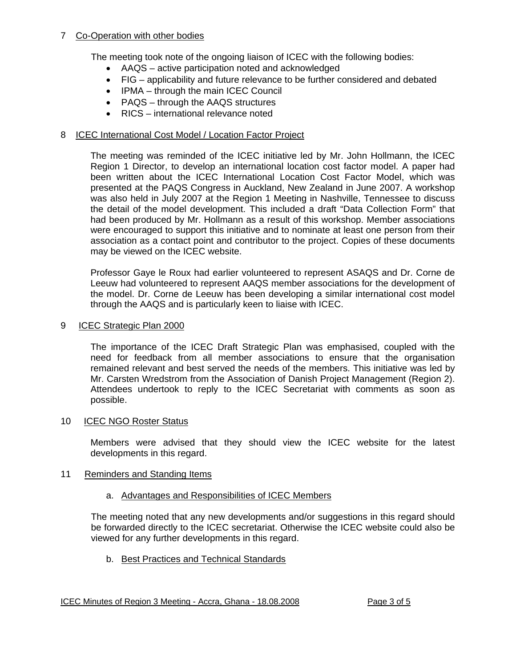# 7 Co-Operation with other bodies

The meeting took note of the ongoing liaison of ICEC with the following bodies:

- AAQS active participation noted and acknowledged
- FIG applicability and future relevance to be further considered and debated
- IPMA through the main ICEC Council
- PAQS through the AAQS structures
- RICS international relevance noted

# 8 ICEC International Cost Model / Location Factor Project

The meeting was reminded of the ICEC initiative led by Mr. John Hollmann, the ICEC Region 1 Director, to develop an international location cost factor model. A paper had been written about the ICEC International Location Cost Factor Model, which was presented at the PAQS Congress in Auckland, New Zealand in June 2007. A workshop was also held in July 2007 at the Region 1 Meeting in Nashville, Tennessee to discuss the detail of the model development. This included a draft "Data Collection Form" that had been produced by Mr. Hollmann as a result of this workshop. Member associations were encouraged to support this initiative and to nominate at least one person from their association as a contact point and contributor to the project. Copies of these documents may be viewed on the ICEC website.

Professor Gaye le Roux had earlier volunteered to represent ASAQS and Dr. Corne de Leeuw had volunteered to represent AAQS member associations for the development of the model. Dr. Corne de Leeuw has been developing a similar international cost model through the AAQS and is particularly keen to liaise with ICEC.

# 9 ICEC Strategic Plan 2000

The importance of the ICEC Draft Strategic Plan was emphasised, coupled with the need for feedback from all member associations to ensure that the organisation remained relevant and best served the needs of the members. This initiative was led by Mr. Carsten Wredstrom from the Association of Danish Project Management (Region 2). Attendees undertook to reply to the ICEC Secretariat with comments as soon as possible.

# 10 ICEC NGO Roster Status

Members were advised that they should view the ICEC website for the latest developments in this regard.

# 11 Reminders and Standing Items

# a. Advantages and Responsibilities of ICEC Members

The meeting noted that any new developments and/or suggestions in this regard should be forwarded directly to the ICEC secretariat. Otherwise the ICEC website could also be viewed for any further developments in this regard.

b. Best Practices and Technical Standards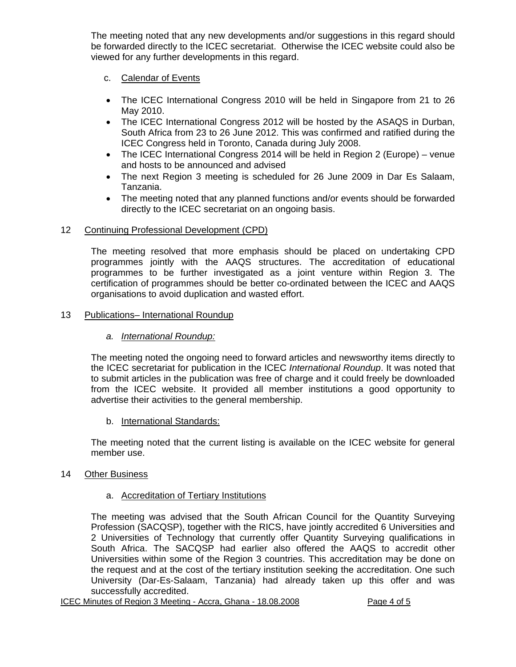The meeting noted that any new developments and/or suggestions in this regard should be forwarded directly to the ICEC secretariat. Otherwise the ICEC website could also be viewed for any further developments in this regard.

# c. Calendar of Events

- The ICEC International Congress 2010 will be held in Singapore from 21 to 26 May 2010.
- The ICEC International Congress 2012 will be hosted by the ASAQS in Durban, South Africa from 23 to 26 June 2012. This was confirmed and ratified during the ICEC Congress held in Toronto, Canada during July 2008.
- The ICEC International Congress 2014 will be held in Region 2 (Europe) venue and hosts to be announced and advised
- The next Region 3 meeting is scheduled for 26 June 2009 in Dar Es Salaam, Tanzania.
- The meeting noted that any planned functions and/or events should be forwarded directly to the ICEC secretariat on an ongoing basis.

# 12 Continuing Professional Development (CPD)

The meeting resolved that more emphasis should be placed on undertaking CPD programmes jointly with the AAQS structures. The accreditation of educational programmes to be further investigated as a joint venture within Region 3. The certification of programmes should be better co-ordinated between the ICEC and AAQS organisations to avoid duplication and wasted effort.

# 13 Publications- International Roundup

# *a. International Roundup:*

The meeting noted the ongoing need to forward articles and newsworthy items directly to the ICEC secretariat for publication in the ICEC *International Roundup*. It was noted that to submit articles in the publication was free of charge and it could freely be downloaded from the ICEC website. It provided all member institutions a good opportunity to advertise their activities to the general membership.

# b. International Standards:

The meeting noted that the current listing is available on the ICEC website for general member use.

# 14 Other Business

# a. Accreditation of Tertiary Institutions

The meeting was advised that the South African Council for the Quantity Surveying Profession (SACQSP), together with the RICS, have jointly accredited 6 Universities and 2 Universities of Technology that currently offer Quantity Surveying qualifications in South Africa. The SACQSP had earlier also offered the AAQS to accredit other Universities within some of the Region 3 countries. This accreditation may be done on the request and at the cost of the tertiary institution seeking the accreditation. One such University (Dar-Es-Salaam, Tanzania) had already taken up this offer and was successfully accredited.

ICEC Minutes of Region 3 Meeting - Accra, Ghana - 18.08.2008 Page 4 of 5